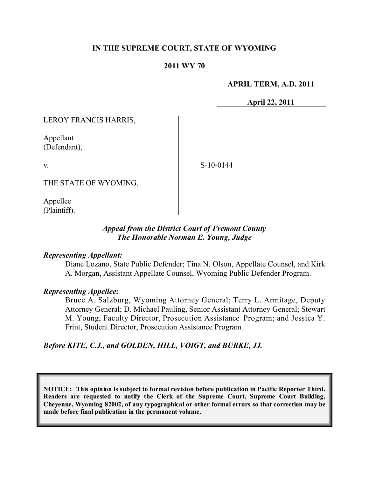# **IN THE SUPREME COURT, STATE OF WYOMING**

### **2011 WY 70**

#### **APRIL TERM, A.D. 2011**

**April 22, 2011**

LEROY FRANCIS HARRIS,

Appellant (Defendant),

v.

S-10-0144

THE STATE OF WYOMING,

Appellee (Plaintiff).

# *Appeal from the District Court of Fremont County The Honorable Norman E. Young, Judge*

#### *Representing Appellant:*

Diane Lozano, State Public Defender; Tina N. Olson, Appellate Counsel, and Kirk A. Morgan, Assistant Appellate Counsel, Wyoming Public Defender Program.

### *Representing Appellee:*

Bruce A. Salzburg, Wyoming Attorney General; Terry L. Armitage, Deputy Attorney General; D. Michael Pauling, Senior Assistant Attorney General; Stewart M. Young, Faculty Director, Prosecution Assistance Program; and Jessica Y. Frint, Student Director, Prosecution Assistance Program.

*Before KITE, C.J., and GOLDEN, HILL, VOIGT, and BURKE, JJ.*

**NOTICE: This opinion is subject to formal revision before publication in Pacific Reporter Third. Readers are requested to notify the Clerk of the Supreme Court, Supreme Court Building, Cheyenne, Wyoming 82002, of any typographical or other formal errors so that correction may be made before final publication in the permanent volume.**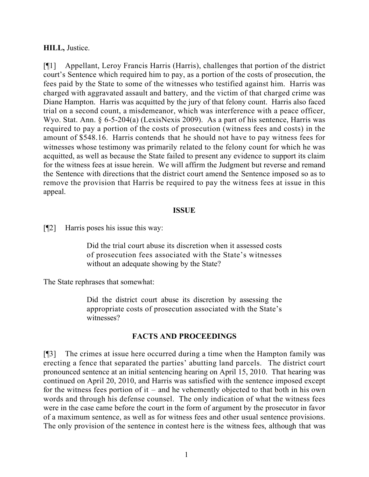## **HILL,** Justice.

[¶1] Appellant, Leroy Francis Harris (Harris), challenges that portion of the district court's Sentence which required him to pay, as a portion of the costs of prosecution, the fees paid by the State to some of the witnesses who testified against him. Harris was charged with aggravated assault and battery, and the victim of that charged crime was Diane Hampton. Harris was acquitted by the jury of that felony count. Harris also faced trial on a second count, a misdemeanor, which was interference with a peace officer, Wyo. Stat. Ann. § 6-5-204(a) (LexisNexis 2009). As a part of his sentence, Harris was required to pay a portion of the costs of prosecution (witness fees and costs) in the amount of \$548.16. Harris contends that he should not have to pay witness fees for witnesses whose testimony was primarily related to the felony count for which he was acquitted, as well as because the State failed to present any evidence to support its claim for the witness fees at issue herein. We will affirm the Judgment but reverse and remand the Sentence with directions that the district court amend the Sentence imposed so as to remove the provision that Harris be required to pay the witness fees at issue in this appeal.

## **ISSUE**

[¶2] Harris poses his issue this way:

Did the trial court abuse its discretion when it assessed costs of prosecution fees associated with the State's witnesses without an adequate showing by the State?

The State rephrases that somewhat:

Did the district court abuse its discretion by assessing the appropriate costs of prosecution associated with the State's witnesses?

# **FACTS AND PROCEEDINGS**

[¶3] The crimes at issue here occurred during a time when the Hampton family was erecting a fence that separated the parties' abutting land parcels. The district court pronounced sentence at an initial sentencing hearing on April 15, 2010. That hearing was continued on April 20, 2010, and Harris was satisfied with the sentence imposed except for the witness fees portion of it – and he vehemently objected to that both in his own words and through his defense counsel. The only indication of what the witness fees were in the case came before the court in the form of argument by the prosecutor in favor of a maximum sentence, as well as for witness fees and other usual sentence provisions. The only provision of the sentence in contest here is the witness fees, although that was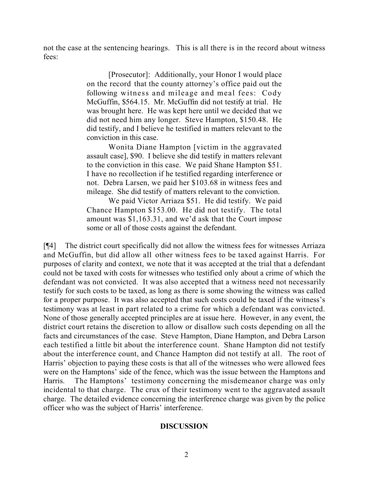not the case at the sentencing hearings. This is all there is in the record about witness fees:

> [Prosecutor]: Additionally, your Honor I would place on the record that the county attorney's office paid out the following witness and mileage and meal fees: Cody McGuffin, \$564.15. Mr. McGuffin did not testify at trial. He was brought here. He was kept here until we decided that we did not need him any longer. Steve Hampton, \$150.48. He did testify, and I believe he testified in matters relevant to the conviction in this case.

> Wonita Diane Hampton [victim in the aggravated assault case], \$90. I believe she did testify in matters relevant to the conviction in this case. We paid Shane Hampton \$51. I have no recollection if he testified regarding interference or not. Debra Larsen, we paid her \$103.68 in witness fees and mileage. She did testify of matters relevant to the conviction.

> We paid Victor Arriaza \$51. He did testify. We paid Chance Hampton \$153.00. He did not testify. The total amount was \$1,163.31, and we'd ask that the Court impose some or all of those costs against the defendant.

[¶4] The district court specifically did not allow the witness fees for witnesses Arriaza and McGuffin, but did allow all other witness fees to be taxed against Harris. For purposes of clarity and context, we note that it was accepted at the trial that a defendant could not be taxed with costs for witnesses who testified only about a crime of which the defendant was not convicted. It was also accepted that a witness need not necessarily testify for such costs to be taxed, as long as there is some showing the witness was called for a proper purpose. It was also accepted that such costs could be taxed if the witness's testimony was at least in part related to a crime for which a defendant was convicted. None of those generally accepted principles are at issue here. However, in any event, the district court retains the discretion to allow or disallow such costs depending on all the facts and circumstances of the case. Steve Hampton, Diane Hampton, and Debra Larson each testified a little bit about the interference count. Shane Hampton did not testify about the interference count, and Chance Hampton did not testify at all. The root of Harris' objection to paying these costs is that all of the witnesses who were allowed fees were on the Hamptons' side of the fence, which was the issue between the Hamptons and Harris. The Hamptons' testimony concerning the misdemeanor charge was only incidental to that charge. The crux of their testimony went to the aggravated assault charge. The detailed evidence concerning the interference charge was given by the police officer who was the subject of Harris' interference.

# **DISCUSSION**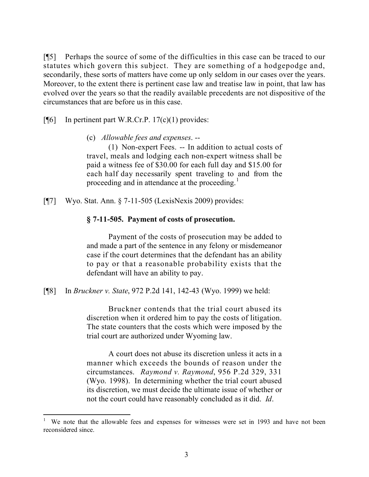[¶5] Perhaps the source of some of the difficulties in this case can be traced to our statutes which govern this subject. They are something of a hodgepodge and, secondarily, these sorts of matters have come up only seldom in our cases over the years. Moreover, to the extent there is pertinent case law and treatise law in point, that law has evolved over the years so that the readily available precedents are not dispositive of the circumstances that are before us in this case.

 $[$ [[6] In pertinent part W.R.Cr.P. 17(c)(1) provides:

(c) *Allowable fees and expenses*. --

(1) Non-expert Fees. -- In addition to actual costs of travel, meals and lodging each non-expert witness shall be paid a witness fee of \$30.00 for each full day and \$15.00 for each half day necessarily spent traveling to and from the proceeding and in attendance at the proceeding.<sup>1</sup>

[¶7] Wyo. Stat. Ann. § 7-11-505 (LexisNexis 2009) provides:

## **§ 7-11-505. Payment of costs of prosecution.**

Payment of the costs of prosecution may be added to and made a part of the sentence in any felony or misdemeanor case if the court determines that the defendant has an ability to pay or that a reasonable probability exists that the defendant will have an ability to pay.

[¶8] In *Bruckner v. State*, 972 P.2d 141, 142-43 (Wyo. 1999) we held:

 $\overline{a}$ 

Bruckner contends that the trial court abused its discretion when it ordered him to pay the costs of litigation. The state counters that the costs which were imposed by the trial court are authorized under Wyoming law.

A court does not abuse its discretion unless it acts in a manner which exceeds the bounds of reason under the circumstances. *Raymond v. Raymond*, 956 P.2d 329, 331 (Wyo. 1998). In determining whether the trial court abused its discretion, we must decide the ultimate issue of whether or not the court could have reasonably concluded as it did. *Id*.

We note that the allowable fees and expenses for witnesses were set in 1993 and have not been reconsidered since.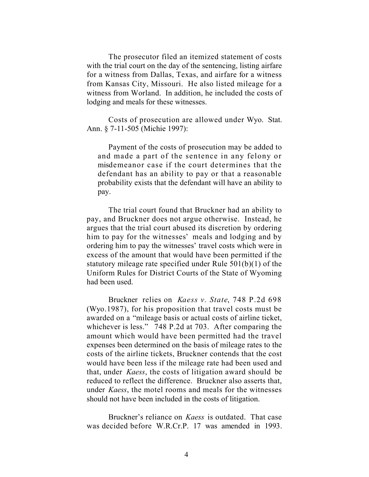The prosecutor filed an itemized statement of costs with the trial court on the day of the sentencing, listing airfare for a witness from Dallas, Texas, and airfare for a witness from Kansas City, Missouri. He also listed mileage for a witness from Worland. In addition, he included the costs of lodging and meals for these witnesses.

Costs of prosecution are allowed under Wyo. Stat. Ann. § 7-11-505 (Michie 1997):

Payment of the costs of prosecution may be added to and made a part of the sentence in any felony or misdemeanor case if the court determines that the defendant has an ability to pay or that a reasonable probability exists that the defendant will have an ability to pay.

The trial court found that Bruckner had an ability to pay, and Bruckner does not argue otherwise. Instead, he argues that the trial court abused its discretion by ordering him to pay for the witnesses' meals and lodging and by ordering him to pay the witnesses' travel costs which were in excess of the amount that would have been permitted if the statutory mileage rate specified under Rule 501(b)(1) of the Uniform Rules for District Courts of the State of Wyoming had been used.

Bruckner relies on *Kaess v. State*, 748 P.2d 698 (Wyo.1987), for his proposition that travel costs must be awarded on a "mileage basis or actual costs of airline ticket, whichever is less." 748 P.2d at 703. After comparing the amount which would have been permitted had the travel expenses been determined on the basis of mileage rates to the costs of the airline tickets, Bruckner contends that the cost would have been less if the mileage rate had been used and that, under *Kaess*, the costs of litigation award should be reduced to reflect the difference. Bruckner also asserts that, under *Kaess*, the motel rooms and meals for the witnesses should not have been included in the costs of litigation.

Bruckner's reliance on *Kaess* is outdated. That case was decided before W.R.Cr.P. 17 was amended in 1993.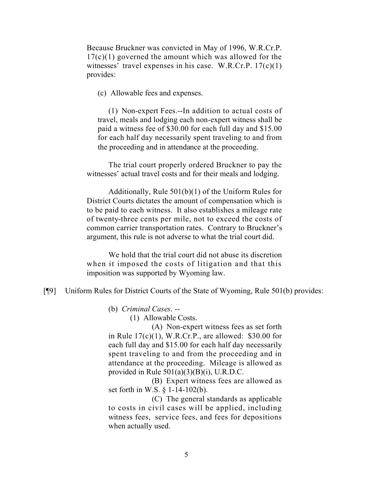Because Bruckner was convicted in May of 1996, W.R.Cr.P.  $17(c)(1)$  governed the amount which was allowed for the witnesses' travel expenses in his case. W.R.Cr.P.  $17(c)(1)$ provides:

(c) Allowable fees and expenses.

(1) Non-expert Fees.--In addition to actual costs of travel, meals and lodging each non-expert witness shall be paid a witness fee of \$30.00 for each full day and \$15.00 for each half day necessarily spent traveling to and from the proceeding and in attendance at the proceeding.

The trial court properly ordered Bruckner to pay the witnesses' actual travel costs and for their meals and lodging.

Additionally, Rule 501(b)(1) of the Uniform Rules for District Courts dictates the amount of compensation which is to be paid to each witness. It also establishes a mileage rate of twenty-three cents per mile, not to exceed the costs of common carrier transportation rates. Contrary to Bruckner's argument, this rule is not adverse to what the trial court did.

We hold that the trial court did not abuse its discretion when it imposed the costs of litigation and that this imposition was supported by Wyoming law.

[¶9] Uniform Rules for District Courts of the State of Wyoming, Rule 501(b) provides:

(b) *Criminal Cases*. --

(1) Allowable Costs.

(A) Non-expert witness fees as set forth in Rule  $17(c)(1)$ , W.R.Cr.P., are allowed: \$30.00 for each full day and \$15.00 for each half day necessarily spent traveling to and from the proceeding and in attendance at the proceeding. Mileage is allowed as provided in Rule 501(a)(3)(B)(i), U.R.D.C.

(B) Expert witness fees are allowed as set forth in W.S. § 1-14-102(b).

(C) The general standards as applicable to costs in civil cases will be applied, including witness fees, service fees, and fees for depositions when actually used.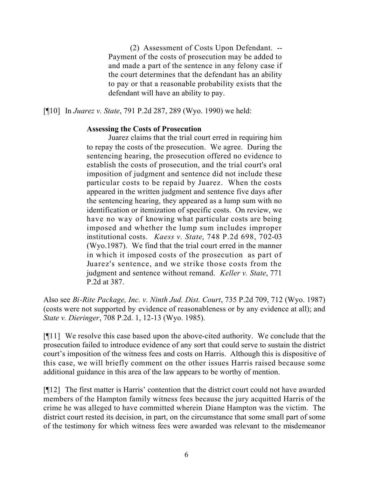(2) Assessment of Costs Upon Defendant. -- Payment of the costs of prosecution may be added to and made a part of the sentence in any felony case if the court determines that the defendant has an ability to pay or that a reasonable probability exists that the defendant will have an ability to pay.

[¶10] In *Juarez v. State*, 791 P.2d 287, 289 (Wyo. 1990) we held:

## **Assessing the Costs of Prosecution**

Juarez claims that the trial court erred in requiring him to repay the costs of the prosecution. We agree. During the sentencing hearing, the prosecution offered no evidence to establish the costs of prosecution, and the trial court's oral imposition of judgment and sentence did not include these particular costs to be repaid by Juarez. When the costs appeared in the written judgment and sentence five days after the sentencing hearing, they appeared as a lump sum with no identification or itemization of specific costs. On review, we have no way of knowing what particular costs are being imposed and whether the lump sum includes improper institutional costs. *Kaess v. State*, 748 P.2d 698, 702-03 (Wyo.1987). We find that the trial court erred in the manner in which it imposed costs of the prosecution as part of Juarez's sentence, and we strike those costs from the judgment and sentence without remand. *Keller v. State*, 771 P.2d at 387.

Also see *Bi-Rite Package, Inc. v. Ninth Jud. Dist. Court*, 735 P.2d 709, 712 (Wyo. 1987) (costs were not supported by evidence of reasonableness or by any evidence at all); and *State v. Dieringer*, 708 P.2d. 1, 12-13 (Wyo. 1985).

[¶11] We resolve this case based upon the above-cited authority. We conclude that the prosecution failed to introduce evidence of any sort that could serve to sustain the district court's imposition of the witness fees and costs on Harris. Although this is dispositive of this case, we will briefly comment on the other issues Harris raised because some additional guidance in this area of the law appears to be worthy of mention.

[¶12] The first matter is Harris' contention that the district court could not have awarded members of the Hampton family witness fees because the jury acquitted Harris of the crime he was alleged to have committed wherein Diane Hampton was the victim. The district court rested its decision, in part, on the circumstance that some small part of some of the testimony for which witness fees were awarded was relevant to the misdemeanor